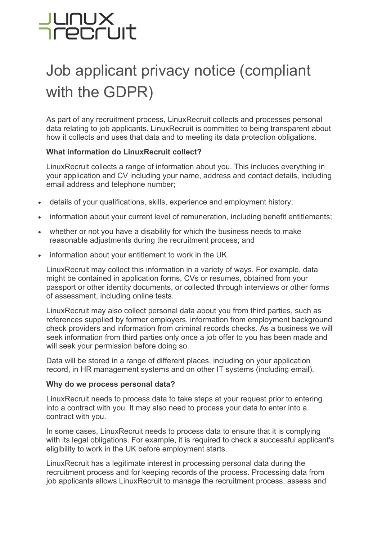# **JUNUX<br>IFECFUIT**

# Job applicant privacy notice (compliant with the GDPR)

As part of any recruitment process, LinuxRecruit collects and processes personal data relating to job applicants. LinuxRecruit is committed to being transparent about how it collects and uses that data and to meeting its data protection obligations.

### **What information do LinuxRecruit collect?**

LinuxRecruit collects a range of information about you. This includes everything in your application and CV including your name, address and contact details, including email address and telephone number;

- details of your qualifications, skills, experience and employment history;
- information about your current level of remuneration, including benefit entitlements;
- whether or not you have a disability for which the business needs to make reasonable adjustments during the recruitment process; and
- information about your entitlement to work in the UK.

LinuxRecruit may collect this information in a variety of ways. For example, data might be contained in application forms, CVs or resumes, obtained from your passport or other identity documents, or collected through interviews or other forms of assessment, including online tests.

LinuxRecruit may also collect personal data about you from third parties, such as references supplied by former employers, information from employment background check providers and information from criminal records checks. As a business we will seek information from third parties only once a job offer to you has been made and will seek your permission before doing so.

Data will be stored in a range of different places, including on your application record, in HR management systems and on other IT systems (including email).

#### **Why do we process personal data?**

LinuxRecruit needs to process data to take steps at your request prior to entering into a contract with you. It may also need to process your data to enter into a contract with you.

In some cases, LinuxRecruit needs to process data to ensure that it is complying with its legal obligations. For example, it is required to check a successful applicant's eligibility to work in the UK before employment starts.

LinuxRecruit has a legitimate interest in processing personal data during the recruitment process and for keeping records of the process. Processing data from job applicants allows LinuxRecruit to manage the recruitment process, assess and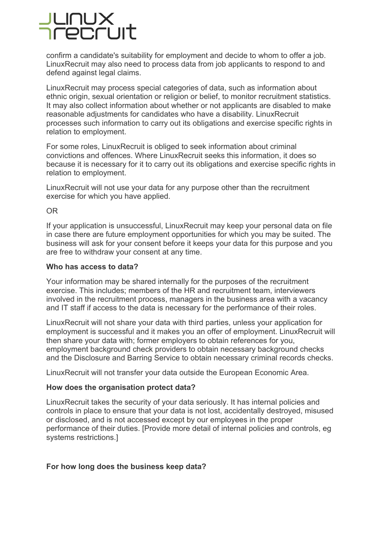# LINUX<br>ITECTUIT

confirm a candidate's suitability for employment and decide to whom to offer a job. LinuxRecruit may also need to process data from job applicants to respond to and defend against legal claims.

LinuxRecruit may process special categories of data, such as information about ethnic origin, sexual orientation or religion or belief, to monitor recruitment statistics. It may also collect information about whether or not applicants are disabled to make reasonable adjustments for candidates who have a disability. LinuxRecruit processes such information to carry out its obligations and exercise specific rights in relation to employment.

For some roles, LinuxRecruit is obliged to seek information about criminal convictions and offences. Where LinuxRecruit seeks this information, it does so because it is necessary for it to carry out its obligations and exercise specific rights in relation to employment.

LinuxRecruit will not use your data for any purpose other than the recruitment exercise for which you have applied.

### OR

If your application is unsuccessful, LinuxRecruit may keep your personal data on file in case there are future employment opportunities for which you may be suited. The business will ask for your consent before it keeps your data for this purpose and you are free to withdraw your consent at any time.

### **Who has access to data?**

Your information may be shared internally for the purposes of the recruitment exercise. This includes; members of the HR and recruitment team, interviewers involved in the recruitment process, managers in the business area with a vacancy and IT staff if access to the data is necessary for the performance of their roles.

LinuxRecruit will not share your data with third parties, unless your application for employment is successful and it makes you an offer of employment. LinuxRecruit will then share your data with; former employers to obtain references for you, employment background check providers to obtain necessary background checks and the Disclosure and Barring Service to obtain necessary criminal records checks.

LinuxRecruit will not transfer your data outside the European Economic Area.

# **How does the organisation protect data?**

LinuxRecruit takes the security of your data seriously. It has internal policies and controls in place to ensure that your data is not lost, accidentally destroyed, misused or disclosed, and is not accessed except by our employees in the proper performance of their duties. [Provide more detail of internal policies and controls, eg systems restrictions.]

# **For how long does the business keep data?**